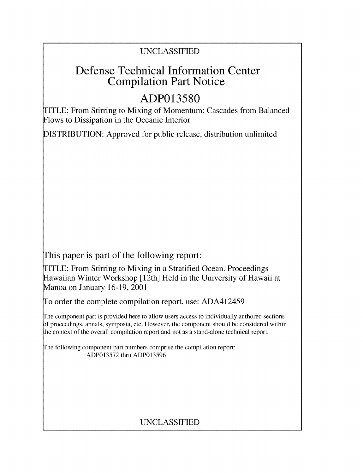# UNCLASSIFIED

# Defense Technical Information Center Compilation Part Notice

# **ADP013580**

TITLE: From Stirring to Mixing of Momentum: Cascades from Balanced Flows to Dissipation in the Oceanic Interior

DISTRIBUTION: Approved for public release, distribution unlimited

This paper is part of the following report:

TITLE: From Stirring to Mixing in a Stratified Ocean. Proceedings Hawaiian Winter Workshop [ 12th] Held in the University of Hawaii at Manoa on January 16-19, 2001

To order the complete compilation report, use: ADA412459

The component part is provided here to allow users access to individually authored sections **)f** proceedings, annals, symposia, etc. However, the component should be considered within [he context of the overall compilation report and not as a stand-alone technical report.

The following component part numbers comprise the compilation report: ADP013572 thru ADP013596

# UNCLASSIFIED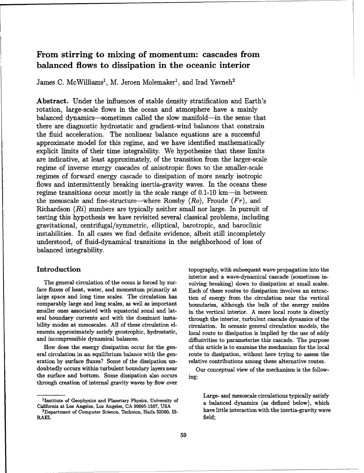## From stirring to mixing of momentum: cascades from balanced flows to dissipation in the oceanic interior

James C. McWilliams<sup>1</sup>, M. Jeroen Molemaker<sup>1</sup>, and Irad Yavneh<sup>2</sup>

Abstract. Under the influences of stable density stratification and Earth's rotation, large-scale flows in the ocean and atmosphere have a mainly balanced dynamics---sometimes called the slow manifold-in the sense that there are diagnostic hydrostatic and gradient-wind balances that constrain the fluid acceleration. The nonlinear balance equations are a successful approximate model for this regime, and we have identified mathematically explicit limits of their time integrability. We hypothesize that these limits are indicative, at least approximately, of the transition from the larger-scale regime of inverse energy cascades of anisotropic flows to the smaller-scale regimes of forward energy cascade to dissipation of more nearly isotropic flows and intermittently breaking inertia-gravity waves. In the oceans these regime transitions occur mostly in the scale range of 0.1-10 km—in between the mesoscale and fine-structure—where Rossby  $(Ro)$ , Froude  $(Fr)$ , and Richardson  $(Ri)$  numbers are typically neither small nor large. In pursuit of testing this hypothesis we have revisited several classical problems, including gravitational, centrifugal/symmetric, elliptical, barotropic, and baroclinic instabilities. In all cases we find definite evidence, albeit still incompletely understood, of fluid-dynamical transitions in the neighborhood of loss of balanced integrability.

face fluxes of heat, water, and momentum primarily at Each of these routes to dissipation involves an extraclarge space and long time scales. The circulation has tion of energy from the circulation near the vertical smaller ones associated with equatorial zonal and lat- in the vertical interior. A more local route is directly

eration by surface fluxes? Some of the dissipation un- relative contributions among these alternative routes. doubtedly occurs within turbulent boundary layers near Our conceptual view of the mechanism is the followthe surface and bottom. Some dissipation also occurs ing: through creation of internal gravity waves by flow over

Introduction the subsequent of the subsequent wave propagation into the subsequent wave propagation into the interior and a wave-dynamical cascade (sometimes in-The general circulation of the ocean is forced by sur-<br>volving breaking) down to dissipation at small scales. comparably large and long scales, as well as important boundaries, although the bulk of the energy resides eral boundary currents and with the dominant insta- through the interior, turbulent cascade dynamics of the bility modes at mesoscales. All of these circulation el-<br>circulation. In oceanic general circulation models, the ements approximately satisfy geostrophic, hydrostatic, local route to dissipation is implied by the use of eddy and incompressible dynamical balances.  $\qquad \qquad$  diffusivities to parameterize this cascade. The purpose How does the energy dissipation occur for the gen- of this article is to examine the mechanism for the local eral circulation in an equilibrium balance with the gen- route to dissipation, without here trying to assess the

Large- and mesoscale circulations typically satisfy <sup>1</sup>Institute of Geophysics and Planetary Physics, University of a balanced dynamics (as defined below), which have little interaction with the inertia-gravity wave

California at Los Angeles, Los Angeles, **CA 90095-1567, USA** <sup>2</sup>

RAEL field;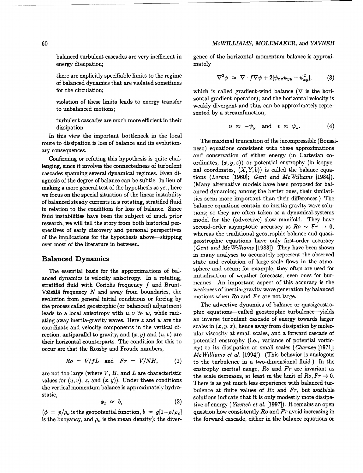energy dissipation: mately mately

there are explicitly specifiable limits to the regime of balanced dynamics that are violated sometimes for the circulation; which is called gradient-wind balance ( $\nabla$  is the hori-

turbulent cascades are much more efficient in their dissipation.  $u \approx -\psi_y$  and  $v \approx \psi_x$ . (4)

In this view the important bottleneck in the local

we focus on the special situation of the linear instability research, we will tell the story from both historical perover most of the literature in between.

Väisälä frequency N and away from boundaries, the weakness of inertia-gravity wave generation by balanced in the motion by balanced motions when  $Ro$  and  $Fr$  are not large. evolution from general initial conditions or forcing by  $\frac{1}{2}$  motions when Ro and FT are not large.<br>The advective dynamics of balance or quasigeostroleads to a local anisotropy with  $u, v \gg w$ , while radirection, antiparallel to gravity, and  $(x, y)$  and  $(u, v)$  are

$$
Ro = V/fL \text{ and } Fr = V/NH, \qquad (1)
$$

$$
\phi_z \approx b, \tag{2}
$$

is the buoyancy, and  $\rho_o$  is the mean density); the diver-<br>the forward cascade, either in the balance equations or

balanced turbulent cascades are very inefficient in gence of the horizontal momentum balance is approxi-

$$
\nabla^2 \phi \approx \nabla \cdot f \nabla \psi + 2[\psi_{xx} \psi_{yy} - \psi_{xy}^2], \quad (3)
$$

violation of these limits leads to energy transfer zontal gradient operator); and the horizontal velocity is to unbalanced motions;<br>to unbalanced motions;<br> sented by a streamfunction,

$$
u \approx -\psi_y \quad \text{and} \quad v \approx \psi_x. \tag{4}
$$

The maximal truncation of the incompressible (Boussi-<br>route to dissipation is loss of balance and its evolution-<br>The maximal truncation of the incompressible (Boussiary consequences. nesq) equations consistent with these approximations Confirming or refuting this hypothesis is quite chal-<br>confirming or refuting this hypothesis is quite chal-<br>cordinates,  $(x, y, z)$  or potential enstrophy (in isopyclenging, since it involves the connectedness of turbulent ordinates,  $(x, y, z)$  or potential enstrophy (in isopyccascades spanning several dynamical regimes. Even di-<br>tions (Lorenz [1960]; Gent and McWilliams [1984]). agnosis of the degree of balance can be subtle. In lieu of the tions (Lorenz [1960]; Gent and Mc Williams (1984]. making a more general test of the hypothesis as yet, here anced dynamics: among the better ones, their similariof balanced steady currents in a rotating, stratified fluid ties seem more important than their differences.) The balance equations contain no inertia-gravity wave soluin relation to the conditions for loss of balance. Since balance equations contain no inertia-gravity wave solu-<br>contain the solutions: so they are often taken as a dynamical-systems fluid instabilities have been the subject of much prior tions; so they are often taken as a dynamical-systems spectives of early discovery and personal perspectives second-order asymptotic accuracy as  $Ro \sim Fr \rightarrow 0$ , whereas the traditional geostrophic balance and quasiof the implications for the hypothesis above-skipping whereas the traditional geostrophic balance and quasi-<br>geostrophic equations have only first-order accuracy (Gent and *McWilliams* [1983]). They have been shown in many analyses to accurately represent the observed **Balanced Dynamics state and evolution of large-scale flows in the atmo-**The essential basis for the approximations of bal-<br>sphere and ocean; for example, they often are used for anced dynamics is velocity anisotropy. In a rotating, initialization of weather forecasts, even ones for hurstratified fluid with Coriolis frequency  $f$  and Brunt-<br>stratified fluid with Coriolis frequency of and Brund-<br> $\frac{1}{2}$  is the stratified fluid with Coriolis frequency of and Brunderics the weakness of inertia-gravity wa

the process called geostrophic (or balanced) adjustment The advective dynamics of balance or quasigeostro-<br>leads to a local anisotropy with  $u, v \gg w$ , while radi-<br>phic equations—called geostrophic turbulence—yields ating away inertia-gravity waves. Here  $z$  and  $w$  are the an inverse turbulent cascade of energy towards larger coordinate and velocity components in the vertical di-<br>rection, antiparallel to gravity, and  $(x, y)$  and  $(y, y)$  are ular viscosity at small scales, and a forward cascade of their horizontal counterparts. The condition for this to potential enstrophy (i.e., variance of potential vorticoccur are that the Rossby and Froude numbers, ity) to its dissipation at small scales (Charney [1971]; *McWilliams et al.* [1994]). (This behavior is analogous to the turbulence in a two-dimensional fluid.) In the enstrophy inertial range,  $Ro$  and  $Fr$  are invariant as are not too large (where  $V$ ,  $H$ , and  $L$  are characteristic the scale decreases, at least in the limit of  $Ro$ ,  $Fr \to 0$ . values for  $(u, v)$ , z, and  $(x, y)$ ). Under these conditions There is as yet much less experience with balanced turthe vertical momentum balance is approximately hydro-<br>bulence at finite values of Ro and Fr, but available static, solutions indicate that it is only modestly more dissipative of energy (Yavneh et al.  $[1997]$ ). It remains an open  $(\phi = p/\rho_o)$  is the geopotential function,  $b = g[1-\rho/\rho_o]$  question how consistently Ro and Fr avoid increasing in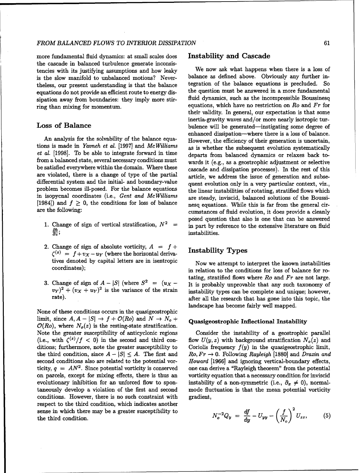more fundamental fluid dynamics: at small scales does Instability and Cascade the cascade in balanced turbulence generate inconsissipation away from boundaries: they imply more stir-

et al. [1998]. To be able to integrate forward in time departs from balanced dynamics or relaxes back todifferential system and the initial- and boundary-value quent evolution only in a very particular context, viz.,

- 
- 2. Change of sign of absolute vorticity,  $A = f +$  $C^{(z)} = f + v_x - u_y$  (where the horizontal deriva-<br> $C^{(z)} = f + v_x - u_y$  (where the horizontal derivatives denoted by capital letters are in isentropic Now we attempt to interpret the known instabilities
- 

None of these conditions occurs in the quasigeostrophic limit, since  $A, A - |S| \rightarrow f + \mathcal{O}(Ro)$  and  $N \rightarrow N_o +$  Quasigeostrophic Inflectional Instability  $\mathcal{O}(Ro)$ , where  $N_o(z)$  is the resting-state stratification. Note the greater susceptibility of anticyclonic regions Consider the instability of a geostrophic parallel ditions; furthermore, note the greater susceptibility to Coriolis frequency  $f(y)$  in the quasigeostrophic limit, second conditions also are related to the potential vor-<br>Howard [1966] and ignoring vertical-boundary effects, ticity,  $q = AN^2$ . Since potential vorticity is conserved one can derive a "Rayleigh theorem" from the potential on parcels, except for mixing effects, there is thus an vorticity equation that a necessary condition for inviscid evolutionary inhibition for an unforced flow to spon- instability of a non-symmetric (i.e.,  $\partial_x \neq 0$ ), normaltaneously develop a violation of the first and second mode fluctuation is that the mean potential vorticity conditions. However, there is no such constraint with gradient, respect to the third condition, which indicates another sense in which there may be a greater susceptibility to the third condition.

tencies with its justifying assumptions and how leaky We now ask what happens when there is a loss of is the slow manifold to unbalanced motions? Never-balance as defined above. Obviously any further inis the slow manifold to unbalanced motions? Never-<br>the slance as defined above. Obviously any further in-<br>the security resent understanding is that the balance equation of the balance equations is precluded. So theless, our present understanding is that the balance tegration of the balance equations is precluded. So equations do not provide an efficient route to energy distribution must be answered in a more fundamental equations do not provide an efficient route to energy dis-<br>sination away from boundaries: they imply more stir-<br>fluid dynamics, such as the incompressible Boussinesq ring than mixing for momentum.  $\qquad \qquad$  equations, which have no restriction on Ro and Fr for their validity. In general, our expectation is that some inertia-gravity waves and/or more nearly isotropic tur-Loss of Balance bulence will be generated—instigating some degree of enhanced dissipation-where there is a loss of balance. An analysis for the solvability of the balance equa-<br>However, the efficiency of their generation is uncertain, tions is made in Yavneh et al. [1997] and McWilliams as is whether the subsequent evolution systematically from a balanced state, several necessary conditions must wards it (e.g., as a geostrophic adjustment or selective be satisfied everywhere within the domain. Where these cascade and dissipation processes). In the rest of this are violated, there is a change of type of the partial article, we address the issue of generation and subseproblem becomes ill-posed. For the balance equations the linear instabilities of rotating, stratified flows which in isopycnal coordinates (i.e., Gent and McWilliams are steady, inviscid, balanced solutions of the Boussi-[1984]) and  $f \geq 0$ , the conditions for loss of balance nesq equations. While this is far from the general cirare the following: cumstances of fluid evolution, it does provide a cleanly posed question that also is one that can be answered 1. Change of sign of vertical stratification,  $N^2$  = in part by reference to the extensive literature on fluid *8b*<sub>2</sub>; instabilities.

coordinates); in relation to the conditions for loss of balance for rotating, stratified flows where  $Ro$  and  $Fr$  are not large. 3. Change of sign of  $A - |S|$  (where  $S^2 = (u_X - u_X + u_Y)$  is probably unprovable that any such taxonomy of  $(v_Y)^2 + (v_X + u_Y)^2$  is the variance of the strain instability types can be complete and unique; however,  $(vY)^2 + (vX + uY)^2$  is the variance of the strain instability types can be complete and unique; however, rate). landscape has become fairly well mapped.

(i.e., with  $\zeta^{(z)}/f < 0$ ) in the second and third con-<br>flow  $U(y, z)$  with background stratification  $N_o(z)$  and the third condition, since  $A - |S| \leq A$ . The first and  $Ro, Fr \to 0$ . Following Rayleigh [1880] and Drazin and

$$
N_o^{-2}Q_y = \frac{df}{dy} - U_{yy} - \left(\frac{f}{N_o}\right)^2 U_{zz}, \qquad (5)
$$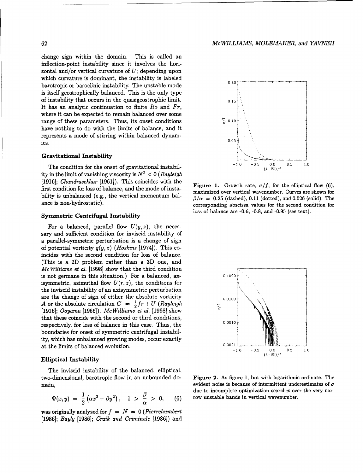change sign within the domain. This is called an inflection-point instability since it involves the horizontal and/or vertical curvature of  $U$ ; depending upon which curvature is dominant, the instability is labeled  $0.20$ barotropic or barocinic instability. The unstable mode is itself geostrophically balanced. This is the only type of instability that occurs in the quasigeostrophic limit. **0 15** of instability that occurs in the quasigeostrophic limit.<br>It has an analytic continuation to finite  $Ro$  and  $Fr$ , where it can be expected to remain balanced over some range of these parameters. Thus, its onset conditions  $\sum_{n=0}^{\infty} 0.10$ have nothing to do with the limits of balance, and it represents a mode of stirring within balanced dynam-<br>ics.  $0.05$ 

### Gravitational Instability

ity in the limit of vanishing viscosity is  $N^2 < 0$  (Rayleigh [1916]; Chandrasekhar [1961]). This coincides with the **Figure 1.** Growth rate,  $\sigma/f$ , for the elliptical flow (6), first condition for loss of balance, and the mode of insta-

For a balanced, parallel flow  $U(y, z)$ , the necessary and sufficient condition for inviscid instability of a parallel-symmetric perturbation is a change of sign of potential vorticity  $q(y, z)$  (*Hoskins* [1974]). This coincides with the second condition for loss of balance. (This is a 2D problem rather than a 3D one, and *McWilliams et al.* [1998] show that the third condition is not germane in this situation.) For a balanced,  $ax$ - $0.1000$ isymmetric, azimuthal flow  $U(r, z)$ , the conditions for the inviscid instability of an axisymmetric perturbation are the change of sign of either the absolute vorticity  $0.0100$ *A* or the absolute circulation  $C = \frac{1}{2}fr + U$  (Rayleigh [1916]; Ooyama [1966]). *McWilliams et* al. [1998] show that these coincide with the second or third conditions, respectively, for loss of balance in this case. Thus, the boundaries for onset of symmetric centrifugal instability, which has unbalanced growing modes, occur exactly at the limits of balanced evolution. **0.0001 10** 

### Elliptical Instability

The inviscid instability of the balanced, elliptical, two-dimensional, barotropic flow in an unbounded do- Figure 2. As figure 1, but with logarithmic ordinate. The

$$
\Psi(x,y) \;=\; \frac{1}{2}\left(\alpha x^2+\beta y^2\right), \quad 1 \;>\; \frac{\beta}{\alpha} \;>\; 0, \qquad (6)
$$

was originally analyzed for  $f = N = 0$  (Pierrehumbert [1986]; Bayly [1986]; Craik and Criminale [1986]) and



maximized over vertical wavenumber. Curves are shown for bility is unbalanced (e.g., the vertical momentum bal-<br> $\beta/\alpha = 0.25$  (dashed), 0.11 (dotted), and 0.026 (solid). The ance is non-hydrostatic).<br>corresponding abscissa values for the second condition for loss of balance are -0.6, -0.8, and -0.95 (see text). Symmetric Centrifugal Instability



main, evident noise is because of intermittent underestimates of  $\sigma$ due to incomplete optimization searches over the very narrow unstable bands in vertical wavenumber.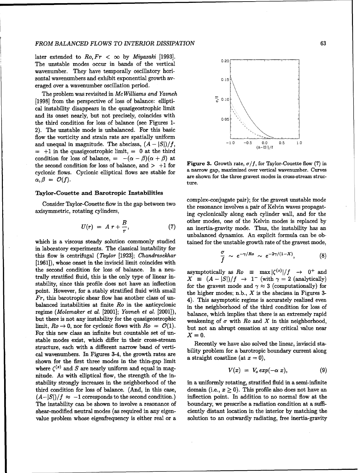### *FROM BALANCED FLOWS TO INTERIOR DISSIPATION* <sup>63</sup>

later extended to  $Ro, Fr < \infty$  by Miyazaki [1993]. The unstable modes occur in bands of the vertical 0.20 wavenumber. They have temporally oscillatory horizontal wavenumbers and exhibit exponential growth av- **0.15** eraged over a wavenumber oscillation period.

The problem was revisited in *Me* Williams and Yavneh [1998] from the perspective of loss of balance: ellipti-  $\frac{1}{6}$  <sup>0.10</sup> cal instability disappears in the quasigeostrophic limit and its onset nearly, but not precisely, coincides with the third condition for loss of balance (see Figures 1- 2). The unstable mode is unbalanced. For this basic flow the vorticity and strain rate are spatially uniform and unequal in magnitude. The abscissa,  $(A - |S|)/f$ ,  $-1.0$   $-0.5$   $0.0$   $0.5$   $1.0$  $=$  +1 in the quasigeostrophic limit,  $=$  0 at the third condition for loss of balance,  $= -(\alpha - \beta)(\alpha + \beta)$  at the second condition for loss of balance, and  $> +1$  for Figure 3. Growth rate,  $\sigma/f$ , for Taylor-Couette flow (7) in<br>curlents flows. Gradenic elliptical flows are stable for a narrow gap, maximized over vertical wavenumbe cyclonic flows. Cyclonic elliptical flows are stable for  $\alpha, \beta = \mathcal{O}(f)$ .<br> $\alpha, \beta = \mathcal{O}(f)$ .

### Taylor-Couette and Barotropic Instabilities

$$
U(r) = A r + \frac{B}{r}, \qquad (7)
$$

in laboratory experiments. The classical instability for this flow is centrifugal (Taylor [1923]; Chandrasekhar [1961]), whose onset in the inviscid limit coincides with *f* the second condition for loss of balance. In a neu-<br>asymptotically as  $Ro \equiv \max |\zeta^{(z)}|/f \rightarrow 0^+$  and trally stratified fluid, this is the only type of linear in-<br> $X = (A - |S|)/f \rightarrow 1 - (with \gamma = 2 (analytically))$ stability, since this profile does not have an inflection for the gravest mode and  $\gamma \approx 3$  (computationally) for point. However, for a stably stratified fluid with small the higher modes; n.b.,  $X$  is the abscissa in Figures 3-*Fr*, this barotropic shear flow has another class of un- 4). This asymptotic regime is accurately realized even balanced instabilities at finite Ro in the anticyclonic in the neighborhood of the third condition for loss of regime (Molemaker et al. [2001]; Yavneh et al. [2001]), balance, which implies that there is an extremely rapid but there is not any instability for the quasigeostrophic weakening of  $\sigma$  with Ro and X in this neighborhood, limit,  $Ro \to 0$ , nor for cyclonic flows with  $Ro = O(1)$ . but not an abrupt cessation at any critical value near For this new class an infinite but countable set of un- $X = 0$ . stable modes exist, which differ in their cross-stream Recently we have also solved the linear, inviscid stastructure, each with a different narrow band of vertical wavenumbers. In Figures 3-4, the growth rates are bility problem for a barotropic boundary current along cal wavenumbers. In Figures 3-4, the growth rates are a straight coastline (at  $x = 0$ ), shown for the first three modes in the thin-gap limit where  $\zeta^{(z)}$  and S are nearly uniform and equal in magnitude. As with elliptical flow, the strength of the instability strongly increases in the neighborhood of the in a uniformly rotating, stratified fluid in a semi-infinite third condition for loss of balance. (And, in this case, domain (i.e.,  $x \ge 0$ ). This profile also does not have an  $(A-|S|)/f \approx -1$  corresponds to the second condition.) inflection point. In addition to no normal flow at the The instability can be shown to involve a resonance of boundary, we prescribe a radiation condition at a suffishear-modified neutral modes (as required in any eigen- ciently distant location in the interior by matching the



ture.

Consider Taylor-Couette flow in the gap between two complex-conjugate pair); for the gravest unstable mode<br>the resonance involves a pair of Kelvin waves propagataxisymmetric, rotating cylinders, ing cyclonically along each cylinder wall, and for the *B* other modes, one of the Kelvin modes is replaced by an inertia-gravity mode. Thus, the instability has an unbalanced dynamics. An explicit formula can be obwhich is a viscous steady solution commonly studied tained for the unstable growth rate of the gravest mode,

$$
\frac{\sigma}{f} \sim e^{-\gamma/Ro} \sim e^{-2\gamma/(1-X)}, \tag{8}
$$

$$
V(x) = V_o \exp(-\alpha x), \qquad (9)
$$

value problem whose eigenfrequency is either real or a solution to an outwardly radiating, free inertia-gravity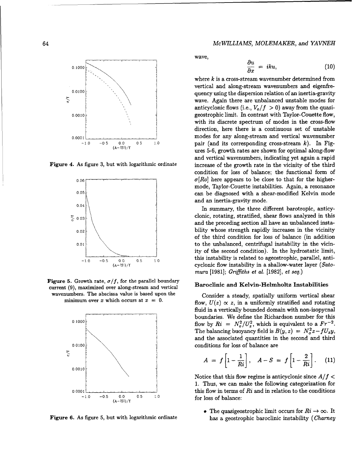



Figure 5. Growth rate,  $\sigma/f$ , for the parallel boundary **Baroclinic and Kelvin-Helmholtz Instabilities** current (9), maximized over along-stream and vertical wavenumbers. The abscissa value is based upon the Consider a steady, spatially uniform vertical shear



64 *McWILLIAMS, MOLEMAKER, and YAVNEH*

wave,

$$
\frac{\partial u}{\partial x} = iku, \tag{10}
$$

where  $k$  is a cross-stream wavenumber determined from vertical and along-stream wavenumbers and eigenfre-0.0100  $\frac{1}{2}$  quency using the dispersion relation of an inertia-gravity wave. Again there are unbalanced unstable modes for anticyclonic flows (i.e.,  $V_o/f > 0$ ) away from the quasi-**0.0010 geostrophic limit. In contrast with Taylor-Couette flow,** with its discrete spectrum of modes in the cross-flow direction, here there is a continuous set of unstable 0.000 **b c**. 0.000 **modes for any along-stream and vertical wavenumber** -1.0 -05 **00** 05 **1.0** pair (and its corresponding cross-stream k). In Figures 5-6, growth rates are shown for optimal along-flow and vertical wavenumbers, indicating yet again a rapid Figure 4. As figure 3, but with logarithmic ordinate increase of the growth rate in the vicinity of the third condition for loss of balance; the functional form of  $\sigma[Ro]$  here appears to be close to that for the highermode, Taylor-Couette instabilities. Again, a resonance  $\frac{1}{1}$  can be diagnosed with a shear-modified Kelvin mode and an inertia-gravity mode.

In summary, the three different barotropic, anticy-  $\zeta_{0.03}$  clonic, rotating, stratified, shear flows analyzed in this and the preceding section all have an unbalanced insta- $\begin{array}{c} \text{0.02} \\ \text{0.02} \end{array}$  bility whose strength rapidly increases in the vicinity of the third condition for loss of balance (in addition **1.001 b 1.000 contribution contribution contribution contribution contribution contribution contribution contribution contribution contribution contribution contribution contribution contri** ity of the second condition). In the hydrostatic limit, <sup>1.0</sup> -0.5 00 0.5 10 **this instability is related to ageostrophic, parallel, anti-**<br>cyclonic flow instability in a shallow-water layer (*Sato*cyclonic flow instability in a shallow-water layer ( $Sato$ mura **[1981];** *Griffiths et al.* **[1982],** *et seq.)*

minimum over x which occurs at  $x = 0$ .<br>flow,  $U(z) \propto z$ , in a uniformly stratified and rotating fluid in a vertically bounded domain with non-isopycnal boundaries. We define the Richardson number for this flow by  $Ri = N_o^2/U_z^2$ , which is equivalent to a  $Fr^{-2}$ . The balancing buoyancy field is  $B(y, z) = N_c^2 z - f U_z y$ , and the associated quantities in the second and third

$$
A = f\left[1 - \frac{1}{Ri}\right], \quad A - S = f\left[1 - \frac{2}{Ri}\right]. \quad (11)
$$

Notice that this flow regime is anticyclonic since *A/f* **<** 1. Thus, we can make the following categorization for **0.0001 this flow in terms of Ri and in relation to the conditions** 

• The quasigeostrophic limit occurs for  $R_i \to \infty$ . It Figure 6. As figure 5, but with logarithmic ordinate has a geostrophic baroclinic instability (Charney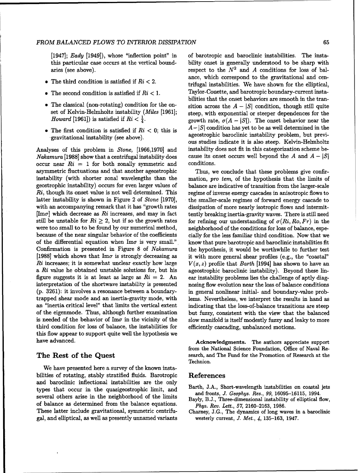### *FROM BALANCED FLOWS TO INTERIOR DISSIPATION* 65

- 
- 
- 
- 

Nakamura [1988] show that a centrifugal instability does cause its onset occurs well beyond the A and  $A - |S|$ occur near  $R_i = 1$  for both zonally symmetric and conditions. asymmetric fluctuations and that another ageostrophic Thus, we conclude that these problems give confirinstability (with shorter zonal wavelengths than the mation, pro tem, of the hypothesis that the limits of geostrophic instability) occurs for even larger values of balance are indicative of transition from the larger-scale  $Ri$ , though its onset value is not well determined. This regime of inverse energy cascades in anisotropic flows to latter instability is shown in Figure 2 of *Stone* [1970], the smaller-scale regimes of forward energy cascade to with an accompanying remark that it has "growth rates dissipation of more nearly isotropic flows and intermit- $\text{[Im}\sigma]$  which decrease as Ri increases, and may in fact tently breaking inertia-gravity waves. There is still need still be unstable for  $R_i \geq 2$ , but if so the growth rates for refining our understanding of  $\sigma(R_i, Ro, Fr)$  in the were too small to to be found by our numerical method, neighborhood of the conditions for loss of balance, espebecause of the near singular behavior of the coefficients cially for the less familiar third condition. Now that we of the differential equation when  $\text{Im}\sigma$  is very small." know that pure barotropic and baroclinic instabilities fit Confirmation is presented in Figure 8 of Nakamura the hypothesis, it would be worthwhile to further test [1988] which shows that Im $\sigma$  is strongly decreasing as it with more general shear profiles (e.g., the "coastal" Ri increases; it is somewhat unclear exactly how large  $V(x, z)$  profile that Barth [1994] has shown to have an a  $R_i$  value he obtained unstable solutions for, but his ageostrophic baroclinic instability). Beyond these linfigure suggests it is at least as large as  $Ri = 2$ . An ear instability problems lies the challenge of aptly diaginterpretation of the shortwave instability is presented nosing flow evolution near the loss of balance conditions (p. 3261): it involves a resonance between a boundary- in general nonlinear initial- and boundary-value probtrapped shear mode and an inertia-gravity mode, with lems. Nevertheless, we interpret the results in hand as an "inertia critical level" that limits the vertical extent indicating that the loss-of-balance transitions are steep of the eigenmode. Thus, although further examination but fuzzy, consistent with the view that the balanced is needed of the behavior of  $\text{Im}\sigma$  in the vicinity of the slow manifold is itself modestly fuzzy and leaky to more third condition for loss of balance, the instabilities for efficiently cascading, unbalanced motions. this flow appear to support quite well the hypothesis we have advanced. Acknowledgments. The authors appreciate support

We have presented here a survey of the known instabilities of rotating, stably stratified fluids. Barotropic References and baroclinic inflectional instabilities are the only<br>types that occur in the quasigeostrophic limit, and<br>several others arise in the neighborhood of the limits<br>several others arise in the neighborhood of the limits<br>Bayly of balance as determined from the balance equations. *Phys. Rev. Lett.,* 57, 2160-2163, 1986. These latter include gravitational, symmetric centrifu- Charney, J.G., The dynamics of long waves in a baroclinic gal, and elliptical, as well as presently unnamed variants westerly current, *J. Met., 4,* 135-163, 1947.

[1947]; Eady [1949]), whose "inflection point" in of barotropic and baroclinic instabilities. The instathis particular case occurs at the vertical bound- bility onset is generally understood to be sharp with aries (see above). respect to the  $N^2$  and A conditions for loss of balance, which correspond to the gravitational and cen-• The third condition is satisfied if  $Ri < 2$ .<br>trifugal instabilities. We have shown for the elliptical, • The second condition is satisfied if  $Ri < 1$ . Taylor-Couette, and barotropic boundary-current instabilities that the onset behaviors are smooth in the tran- • The classical (non-rotating) condition for the on-<br>sition across the  $A - |S|$  condition, though still quite set of Kelvin-Helmholtz instability  $(Miles [1961];$  steep, with exponential or steeper dependences for the *Howard* [1961]) is satisfied if  $Ri < \frac{1}{4}$ . growth rate,  $\sigma(A - |S|)$ . The onset behavior near the • The first condition is satisfied if  $Ri < 0$ ; this is  $A - |S|$  condition has yet to be as well determined in the gravitational instability (see above). ageostrophic baroclinic instability problem, but previous studies indicate it is also steep. Kelvin-Helmholtz Analyses of this problem in Stone, [1966,1970] and instability does not fit in this categorization scheme be-

from the National Science Foundation, Office of Naval Re-The Rest of the Quest search, and The Fund for the Promotion of Research at the Technion.

- 
-